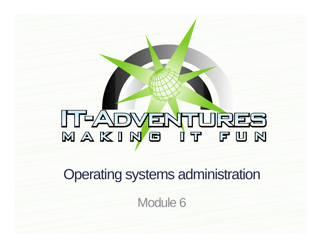# NAKING IT FUN

Operating systems administration

Module 6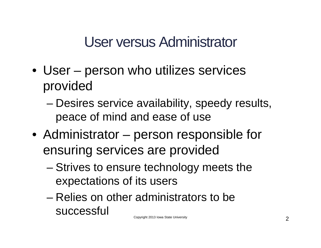User versus Administrator

- User person who utilizes services provided
	- Desires service availability, speedy results, peace of mind and ease of use
- Administrator person responsible for ensuring services are provided
	- Strives to ensure technology meets the expectations of its users
	- Relies on other administrators to be successful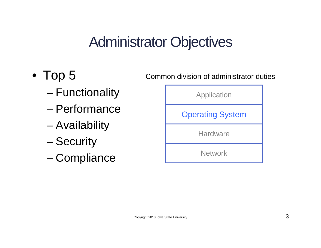#### Administrator Objectives

- Top 5
	- Functionality
	- Performance
	- Availability
	- Security
	- Compliance

Common division of administrator duties

Application

Operating System

**Hardware** 

**Network**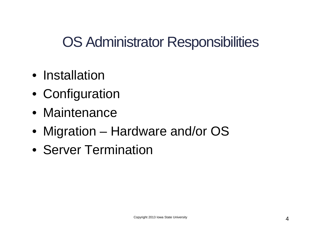OS Administrator Responsibilities

- Installation
- Configuration
- Maintenance
- Migration Hardware and/or OS
- Server Termination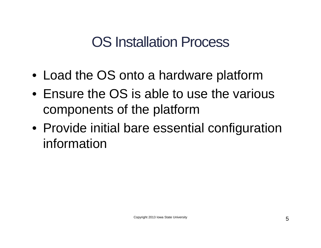#### OS Installation Process

- Load the OS onto a hardware platform
- Ensure the OS is able to use the various components of the platform
- Provide initial bare essential configuration information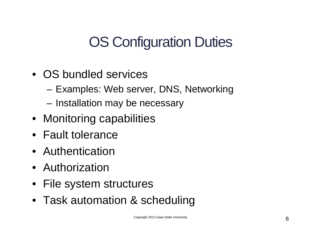## OS Configuration Duties

- OS bundled services
	- Examples: Web server, DNS, Networking
	- Installation may be necessary
- Monitoring capabilities
- Fault tolerance
- Authentication
- Authorization
- File system structures
- Task automation & scheduling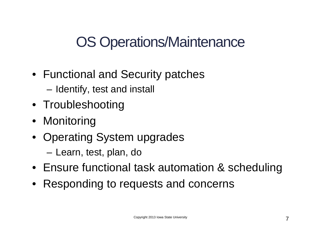## OS Operations/Maintenance

- Functional and Security patches
	- Identify, test and install
- Troubleshooting
- Monitoring
- Operating System upgrades
	- Learn, test, plan, do
- Ensure functional task automation & scheduling
- Responding to requests and concerns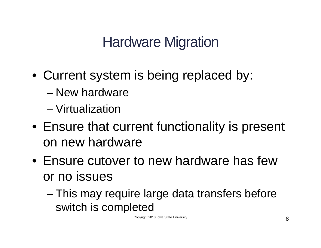## Hardware Migration

- Current system is being replaced by:
	- New hardware
	- Virtualization
- Ensure that current functionality is present on new hardware
- Ensure cutover to new hardware has few or no issues
	- This may require large data transfers before switch is completed

Copyright 2013 Iowa State University 8 and 2013 Iowa State State Burn and 2013 Iowa State Burn and 2013 Iowa St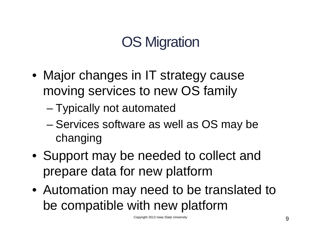# OS Migration

- Major changes in IT strategy cause moving services to new OS family
	- Typically not automated
	- Services software as well as OS may be changing
- Support may be needed to collect and prepare data for new platform
- Automation may need to be translated to be compatible with new platform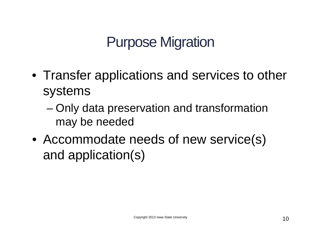## Purpose Migration

- Transfer applications and services to other systems
	- Only data preservation and transformation may be needed
- Accommodate needs of new service(s) and application(s)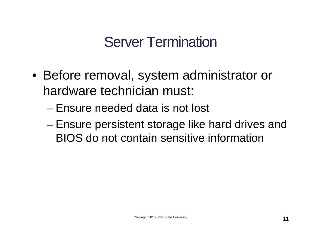## Server Termination

- Before removal, system administrator or hardware technician must:
	- Ensure needed data is not lost
	- Ensure persistent storage like hard drives and BIOS do not contain sensitive information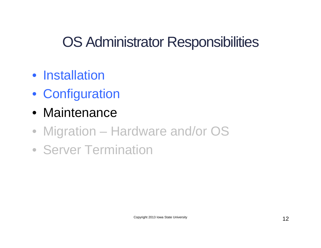## OS Administrator Responsibilities

- Installation
- Configuration
- Maintenance
- Migration Hardware and/or OS
- Server Termination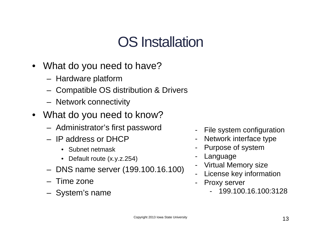- What do you need to have?
	- Hardware platform
	- Compatible OS distribution & Drivers
	- Network connectivity
- What do you need to know?
	- Administrator's first password
	- IP address or DHCP
		- Subnet netmask
		- Default route (x.y.z.254)
	- DNS name server (199.100.16.100)
	- Time zone
	- System's name
- File system configuration
- Network interface type
- Purpose of system
- Language
- Virtual Memory size
- License key information
- Proxy server
	- 199.100.16.100:3128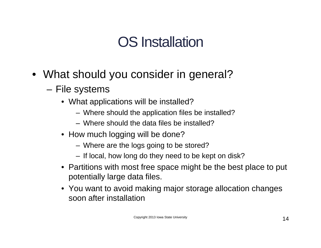- What should you consider in general?
	- File systems
		- What applications will be installed?
			- Where should the application files be installed?
			- Where should the data files be installed?
		- How much logging will be done?
			- Where are the logs going to be stored?
			- If local, how long do they need to be kept on disk?
		- Partitions with most free space might be the best place to put potentially large data files.
		- You want to avoid making major storage allocation changes soon after installation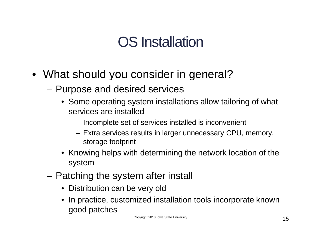- What should you consider in general?
	- Purpose and desired services
		- Some operating system installations allow tailoring of what services are installed
			- Incomplete set of services installed is inconvenient
			- Extra services results in larger unnecessary CPU, memory, storage footprint
		- Knowing helps with determining the network location of the system
	- Patching the system after install
		- Distribution can be very old
		- In practice, customized installation tools incorporate known good patches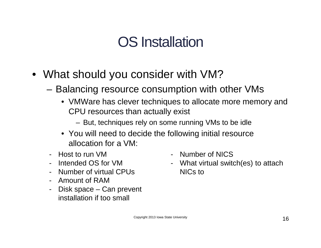- What should you consider with VM?
	- Balancing resource consumption with other VMs
		- VMWare has clever techniques to allocate more memory and CPU resources than actually exist
			- But, techniques rely on some running VMs to be idle
		- You will need to decide the following initial resource allocation for a VM:
	- Host to run VM
	- Intended OS for VM
	- Number of virtual CPUs
	- Amount of RAM
	- Disk space Can prevent installation if too small
- Number of NICS
- What virtual switch(es) to attach NICs to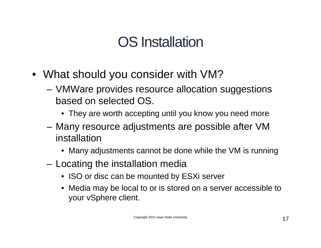- What should you consider with VM?
	- VMWare provides resource allocation suggestions based on selected OS.
		- They are worth accepting until you know you need more
	- Many resource adjustments are possible after VM installation
		- Many adjustments cannot be done while the VM is running
	- Locating the installation media
		- ISO or disc can be mounted by ESXi server
		- Media may be local to or is stored on a server accessible to your vSphere client.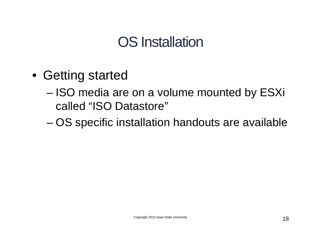- Getting started
	- ISO media are on a volume mounted by ESXi called "ISO Datastore"
	- OS specific installation handouts are available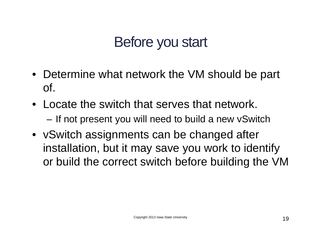## Before you start

- Determine what network the VM should be part of.
- Locate the switch that serves that network. – If not present you will need to build a new vSwitch
- vSwitch assignments can be changed after installation, but it may save you work to identify or build the correct switch before building the VM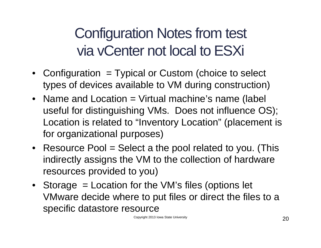# Configuration Notes from test via vCenter not local to ESXi

- Configuration = Typical or Custom (choice to select types of devices available to VM during construction)
- Name and Location = Virtual machine's name (label useful for distinguishing VMs. Does not influence OS); Location is related to "Inventory Location" (placement is for organizational purposes)
- Resource Pool = Select a the pool related to you. (This indirectly assigns the VM to the collection of hardware resources provided to you)
- Storage = Location for the VM's files (options let VMware decide where to put files or direct the files to a specific datastore resource

Copyright 2013 Iowa State University **20**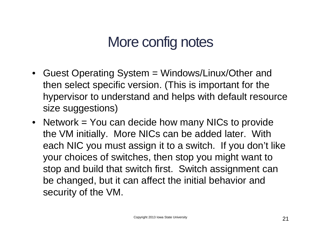## More config notes

- Guest Operating System = Windows/Linux/Other and then select specific version. (This is important for the hypervisor to understand and helps with default resource size suggestions)
- Network = You can decide how many NICs to provide the VM initially. More NICs can be added later. With each NIC you must assign it to a switch. If you don't like your choices of switches, then stop you might want to stop and build that switch first. Switch assignment can be changed, but it can affect the initial behavior and security of the VM.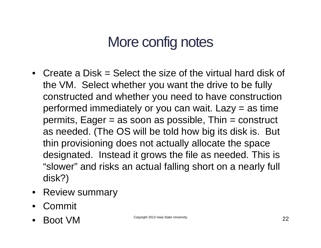## More config notes

- Create a Disk = Select the size of the virtual hard disk of the VM. Select whether you want the drive to be fully constructed and whether you need to have construction performed immediately or you can wait. Lazy = as time  $permits, Eager = as soon as possible, Thin = construct$ as needed. (The OS will be told how big its disk is. But thin provisioning does not actually allocate the space designated. Instead it grows the file as needed. This is "slower" and risks an actual falling short on a nearly full disk?)
- Review summary
- Commit
- $\mathsf{Bool}$   $\mathsf{Vol}$   $\mathsf{Copy}$   $\mathsf{Copyright}$  2013 Iowa State University 22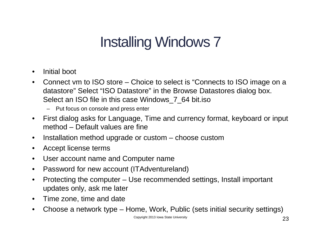## Installing Windows 7

- Initial boot
- Connect vm to ISO store Choice to select is "Connects to ISO image on a datastore" Select "ISO Datastore" in the Browse Datastores dialog box. Select an ISO file in this case Windows\_7\_64 bit.iso
	- Put focus on console and press enter
- First dialog asks for Language, Time and currency format, keyboard or input method – Default values are fine
- Installation method upgrade or custom choose custom
- Accept license terms
- User account name and Computer name
- Password for new account (ITAdventureland)
- Protecting the computer Use recommended settings, Install important updates only, ask me later
- Time zone, time and date
- Choose a network type Home, Work, Public (sets initial security settings)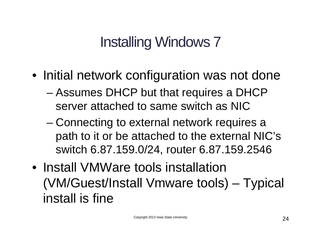## Installing Windows 7

- Initial network configuration was not done
	- Assumes DHCP but that requires a DHCP server attached to same switch as NIC
	- Connecting to external network requires a path to it or be attached to the external NIC's switch 6.87.159.0/24, router 6.87.159.2546
- Install VMWare tools installation (VM/Guest/Install Vmware tools) – Typical install is fine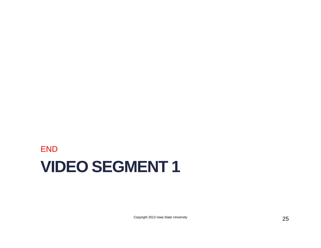#### **VIDEO SEGMENT 1** END

Copyright 2013 Iowa State University 25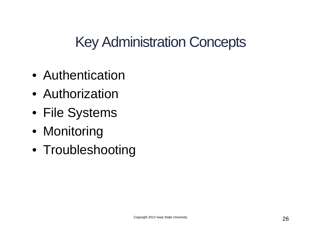Key Administration Concepts

- Authentication
- Authorization
- File Systems
- Monitoring
- Troubleshooting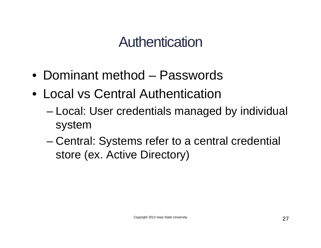#### Authentication

- Dominant method Passwords
- Local vs Central Authentication
	- Local: User credentials managed by individual system
	- Central: Systems refer to a central credential store (ex. Active Directory)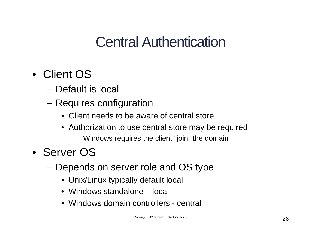## Central Authentication

- Client OS
	- Default is local
	- Requires configuration
		- Client needs to be aware of central store
		- Authorization to use central store may be required
			- Windows requires the client "join" the domain
- Server OS
	- Depends on server role and OS type
		- Unix/Linux typically default local
		- Windows standalone local
		- Windows domain controllers central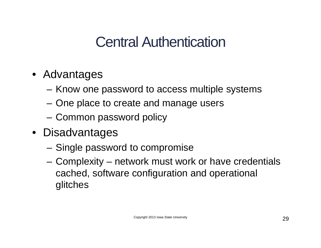## Central Authentication

- Advantages
	- Know one password to access multiple systems
	- One place to create and manage users
	- Common password policy
- Disadvantages
	- Single password to compromise
	- Complexity network must work or have credentials cached, software configuration and operational glitches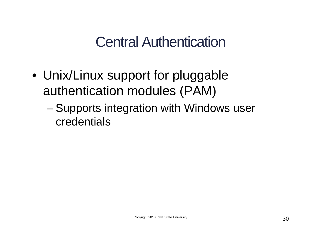#### Central Authentication

- Unix/Linux support for pluggable authentication modules (PAM)
	- Supports integration with Windows user credentials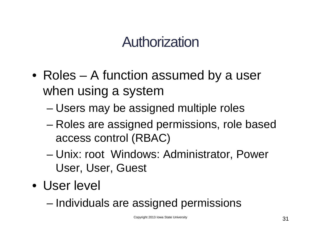## Authorization

- Roles A function assumed by a user when using a system
	- Users may be assigned multiple roles
	- Roles are assigned permissions, role based access control (RBAC)
	- Unix: root Windows: Administrator, Power User, User, Guest
- User level
	- Individuals are assigned permissions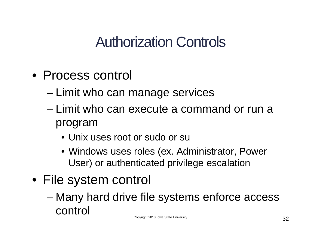## Authorization Controls

- Process control
	- Limit who can manage services
	- Limit who can execute a command or run a program
		- Unix uses root or sudo or su
		- Windows uses roles (ex. Administrator, Power User) or authenticated privilege escalation
- File system control
	- Many hard drive file systems enforce access control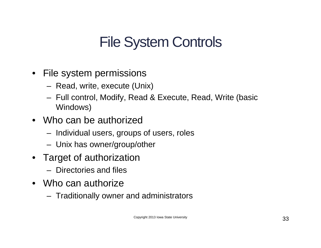## File System Controls

- File system permissions
	- Read, write, execute (Unix)
	- Full control, Modify, Read & Execute, Read, Write (basic Windows)
- Who can be authorized
	- Individual users, groups of users, roles
	- Unix has owner/group/other
- Target of authorization
	- Directories and files
- Who can authorize
	- Traditionally owner and administrators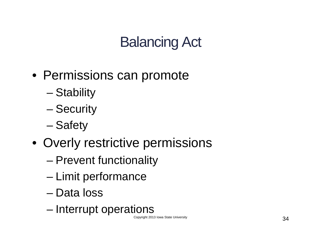## Balancing Act

- Permissions can promote
	- Stability
	- Security
	- Safety
- Overly restrictive permissions
	- Prevent functionality
	- Limit performance
	- Data loss
	- Interrupt operations

Copyright 2013 Iowa State University **34**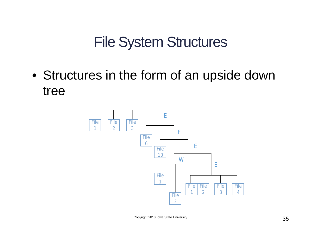#### File System Structures

• Structures in the form of an upside down tree



Copyright 2013 Iowa State University **35**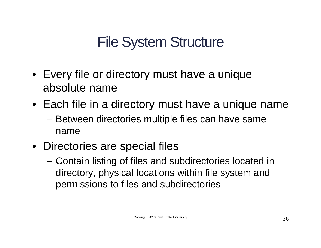## File System Structure

- Every file or directory must have a unique absolute name
- Each file in a directory must have a unique name
	- Between directories multiple files can have same name
- Directories are special files
	- Contain listing of files and subdirectories located in directory, physical locations within file system and permissions to files and subdirectories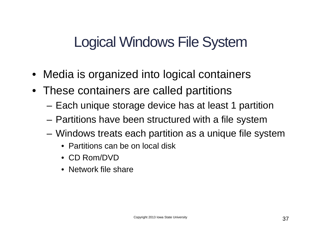## Logical Windows File System

- Media is organized into logical containers
- These containers are called partitions
	- Each unique storage device has at least 1 partition
	- Partitions have been structured with a file system
	- Windows treats each partition as a unique file system
		- Partitions can be on local disk
		- CD Rom/DVD
		- Network file share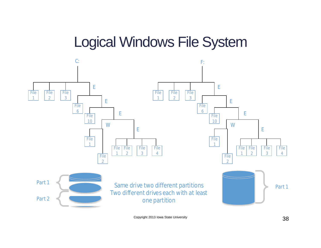#### Logical Windows File System



Copyright 2013 Iowa State University **38**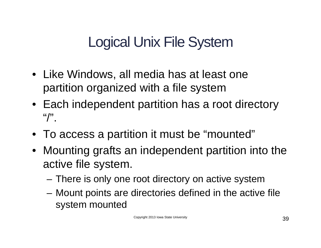## Logical Unix File System

- Like Windows, all media has at least one partition organized with a file system
- Each independent partition has a root directory  $\binom{1}{2}$
- To access a partition it must be "mounted"
- Mounting grafts an independent partition into the active file system.
	- There is only one root directory on active system
	- Mount points are directories defined in the active file system mounted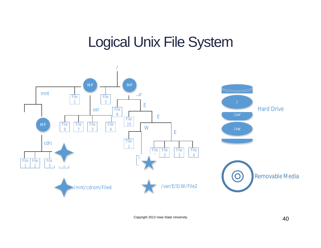#### Logical Unix File System



Copyright 2013 Iowa State University **40**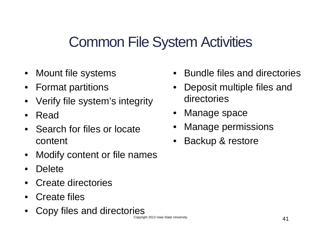#### Common File System Activities

- Mount file systems
- Format partitions
- Verify file system's integrity
- Read
- Search for files or locate content
- Modify content or file names
- Delete
- Create directories
- Create files
- Copy files and directories
- Bundle files and directories
- Deposit multiple files and directories
- Manage space
- Manage permissions
- Backup & restore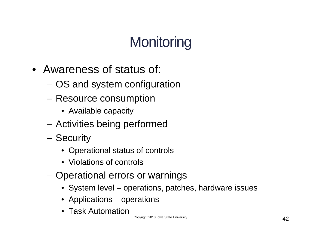# **Monitoring**

- Awareness of status of:
	- OS and system configuration
	- Resource consumption
		- Available capacity
	- Activities being performed
	- Security
		- Operational status of controls
		- Violations of controls
	- Operational errors or warnings
		- System level operations, patches, hardware issues
		- Applications operations
		- Task Automation

Copyright 2013 Iowa State University **42**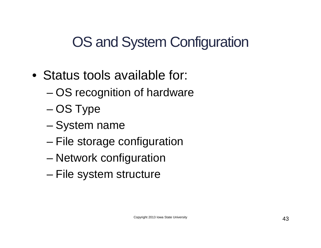OS and System Configuration

- Status tools available for:
	- OS recognition of hardware
	- OS Type
	- System name
	- File storage configuration
	- Network configuration
	- File system structure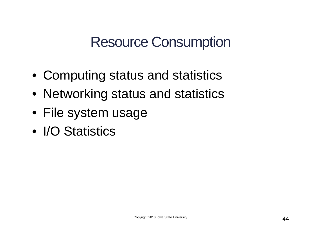#### Resource Consumption

- Computing status and statistics
- Networking status and statistics
- File system usage
- I/O Statistics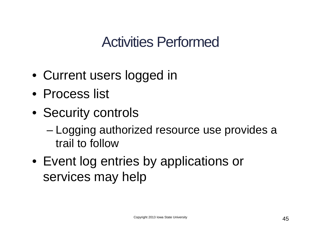## Activities Performed

- Current users logged in
- Process list
- Security controls
	- Logging authorized resource use provides a trail to follow
- Event log entries by applications or services may help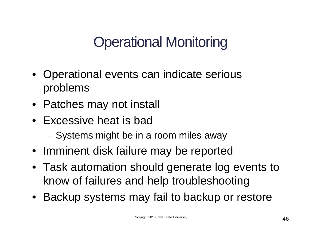# Operational Monitoring

- Operational events can indicate serious problems
- Patches may not install
- Excessive heat is bad
	- Systems might be in a room miles away
- Imminent disk failure may be reported
- Task automation should generate log events to know of failures and help troubleshooting
- Backup systems may fail to backup or restore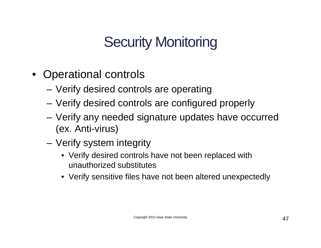# Security Monitoring

- Operational controls
	- Verify desired controls are operating
	- Verify desired controls are configured properly
	- Verify any needed signature updates have occurred (ex. Anti-virus)
	- Verify system integrity
		- Verify desired controls have not been replaced with unauthorized substitutes
		- Verify sensitive files have not been altered unexpectedly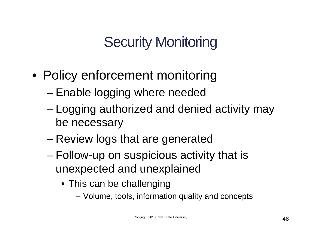# Security Monitoring

- Policy enforcement monitoring
	- Enable logging where needed
	- Logging authorized and denied activity may be necessary
	- Review logs that are generated
	- Follow-up on suspicious activity that is unexpected and unexplained
		- This can be challenging
			- Volume, tools, information quality and concepts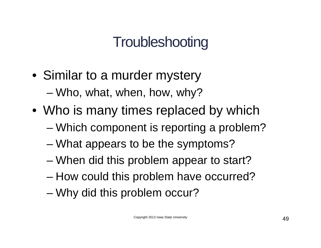# **Troubleshooting**

- Similar to a murder mystery – Who, what, when, how, why?
- Who is many times replaced by which
	- Which component is reporting a problem?
	- What appears to be the symptoms?
	- When did this problem appear to start?
	- How could this problem have occurred?
	- Why did this problem occur?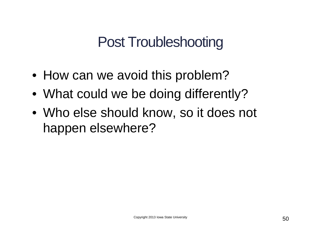#### Post Troubleshooting

- How can we avoid this problem?
- What could we be doing differently?
- Who else should know, so it does not happen elsewhere?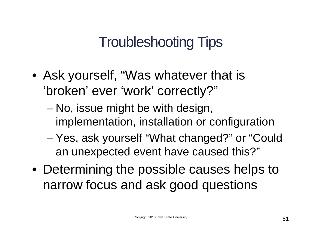## Troubleshooting Tips

- Ask yourself, "Was whatever that is 'broken' ever 'work' correctly?"
	- No, issue might be with design, implementation, installation or configuration
	- Yes, ask yourself "What changed?" or "Could an unexpected event have caused this?"
- Determining the possible causes helps to narrow focus and ask good questions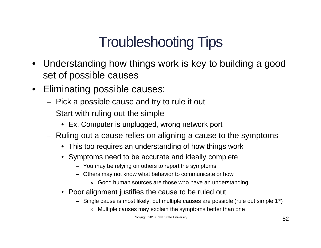## Troubleshooting Tips

- Understanding how things work is key to building a good set of possible causes
- Eliminating possible causes:
	- Pick a possible cause and try to rule it out
	- Start with ruling out the simple
		- Ex. Computer is unplugged, wrong network port
	- Ruling out a cause relies on aligning a cause to the symptoms
		- This too requires an understanding of how things work
		- Symptoms need to be accurate and ideally complete
			- You may be relying on others to report the symptoms
			- Others may not know what behavior to communicate or how
				- » Good human sources are those who have an understanding
		- Poor alignment justifies the cause to be ruled out
			- $-$  Single cause is most likely, but multiple causes are possible (rule out simple 1<sup>st</sup>)
				- » Multiple causes may explain the symptoms better than one

Copyright 2013 Iowa State University **52**